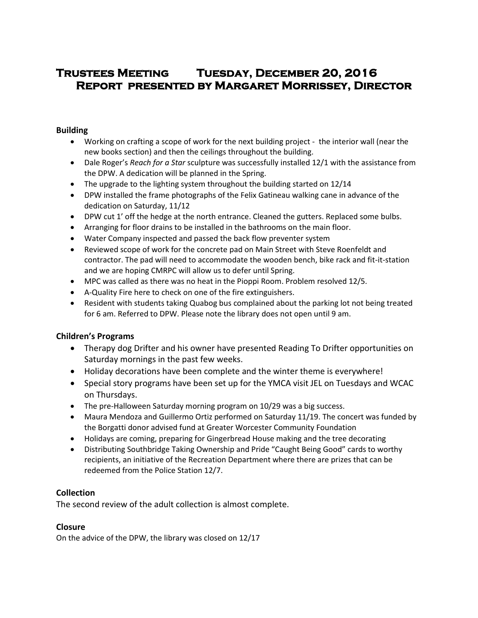# **Trustees Meeting Tuesday, December 20, 2016 Report presented by Margaret Morrissey, Director**

#### **Building**

- Working on crafting a scope of work for the next building project the interior wall (near the new books section) and then the ceilings throughout the building.
- Dale Roger's *Reach for a Star* sculpture was successfully installed 12/1 with the assistance from the DPW. A dedication will be planned in the Spring.
- The upgrade to the lighting system throughout the building started on 12/14
- DPW installed the frame photographs of the Felix Gatineau walking cane in advance of the dedication on Saturday, 11/12
- DPW cut 1' off the hedge at the north entrance. Cleaned the gutters. Replaced some bulbs.
- Arranging for floor drains to be installed in the bathrooms on the main floor.
- Water Company inspected and passed the back flow preventer system
- Reviewed scope of work for the concrete pad on Main Street with Steve Roenfeldt and contractor. The pad will need to accommodate the wooden bench, bike rack and fit-it-station and we are hoping CMRPC will allow us to defer until Spring.
- MPC was called as there was no heat in the Pioppi Room. Problem resolved 12/5.
- A-Quality Fire here to check on one of the fire extinguishers.
- Resident with students taking Quabog bus complained about the parking lot not being treated for 6 am. Referred to DPW. Please note the library does not open until 9 am.

# **Children's Programs**

- Therapy dog Drifter and his owner have presented Reading To Drifter opportunities on Saturday mornings in the past few weeks.
- Holiday decorations have been complete and the winter theme is everywhere!
- Special story programs have been set up for the YMCA visit JEL on Tuesdays and WCAC on Thursdays.
- The pre-Halloween Saturday morning program on 10/29 was a big success.
- Maura Mendoza and Guillermo Ortiz performed on Saturday 11/19. The concert was funded by the Borgatti donor advised fund at Greater Worcester Community Foundation
- Holidays are coming, preparing for Gingerbread House making and the tree decorating
- Distributing Southbridge Taking Ownership and Pride "Caught Being Good" cards to worthy recipients, an initiative of the Recreation Department where there are prizes that can be redeemed from the Police Station 12/7.

# **Collection**

The second review of the adult collection is almost complete.

# **Closure**

On the advice of the DPW, the library was closed on 12/17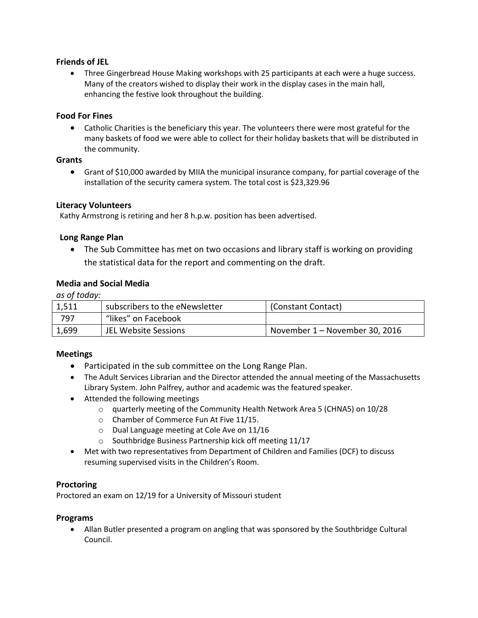# **Friends of JEL**

• Three Gingerbread House Making workshops with 25 participants at each were a huge success. Many of the creators wished to display their work in the display cases in the main hall, enhancing the festive look throughout the building.

#### **Food For Fines**

 Catholic Charities is the beneficiary this year. The volunteers there were most grateful for the many baskets of food we were able to collect for their holiday baskets that will be distributed in the community.

#### **Grants**

 Grant of \$10,000 awarded by MIIA the municipal insurance company, for partial coverage of the installation of the security camera system. The total cost is \$23,329.96

#### **Literacy Volunteers**

Kathy Armstrong is retiring and her 8 h.p.w. position has been advertised.

#### **Long Range Plan**

 The Sub Committee has met on two occasions and library staff is working on providing the statistical data for the report and commenting on the draft.

# **Media and Social Media**

*as of today:*

| 1,511 | subscribers to the eNewsletter | (Constant Contact)             |
|-------|--------------------------------|--------------------------------|
| 797   | "likes" on Facebook            |                                |
| 1,699 | JEL Website Sessions           | November 1 – November 30, 2016 |

# **Meetings**

- Participated in the sub committee on the Long Range Plan.
- The Adult Services Librarian and the Director attended the annual meeting of the Massachusetts Library System. John Palfrey, author and academic was the featured speaker.
- Attended the following meetings
	- o quarterly meeting of the Community Health Network Area 5 (CHNA5) on 10/28
	- o Chamber of Commerce Fun At Five 11/15.
	- o Dual Language meeting at Cole Ave on 11/16
	- o Southbridge Business Partnership kick off meeting 11/17
- Met with two representatives from Department of Children and Families (DCF) to discuss resuming supervised visits in the Children's Room.

#### **Proctoring**

Proctored an exam on 12/19 for a University of Missouri student

#### **Programs**

 Allan Butler presented a program on angling that was sponsored by the Southbridge Cultural Council.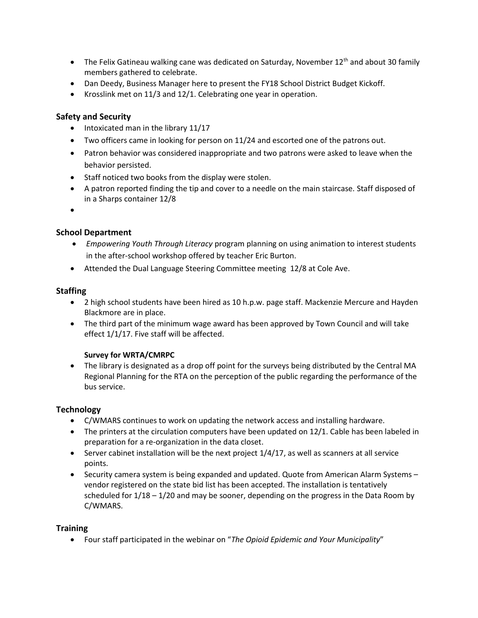- The Felix Gatineau walking cane was dedicated on Saturday, November  $12<sup>th</sup>$  and about 30 family members gathered to celebrate.
- Dan Deedy, Business Manager here to present the FY18 School District Budget Kickoff.
- Krosslink met on 11/3 and 12/1. Celebrating one year in operation.

# **Safety and Security**

- Intoxicated man in the library 11/17
- Two officers came in looking for person on 11/24 and escorted one of the patrons out.
- Patron behavior was considered inappropriate and two patrons were asked to leave when the behavior persisted.
- Staff noticed two books from the display were stolen.
- A patron reported finding the tip and cover to a needle on the main staircase. Staff disposed of in a Sharps container 12/8
- $\bullet$

# **School Department**

- *Empowering Youth Through Literacy* program planning on using animation to interest students in the after-school workshop offered by teacher Eric Burton.
- Attended the Dual Language Steering Committee meeting 12/8 at Cole Ave.

# **Staffing**

- 2 high school students have been hired as 10 h.p.w. page staff. Mackenzie Mercure and Hayden Blackmore are in place.
- The third part of the minimum wage award has been approved by Town Council and will take effect 1/1/17. Five staff will be affected.

# **Survey for WRTA/CMRPC**

• The library is designated as a drop off point for the surveys being distributed by the Central MA Regional Planning for the RTA on the perception of the public regarding the performance of the bus service.

# **Technology**

- C/WMARS continues to work on updating the network access and installing hardware.
- The printers at the circulation computers have been updated on 12/1. Cable has been labeled in preparation for a re-organization in the data closet.
- $\bullet$  Server cabinet installation will be the next project  $1/4/17$ , as well as scanners at all service points.
- Security camera system is being expanded and updated. Quote from American Alarm Systems vendor registered on the state bid list has been accepted. The installation is tentatively scheduled for  $1/18 - 1/20$  and may be sooner, depending on the progress in the Data Room by C/WMARS.

# **Training**

Four staff participated in the webinar on "*The Opioid Epidemic and Your Municipality*"